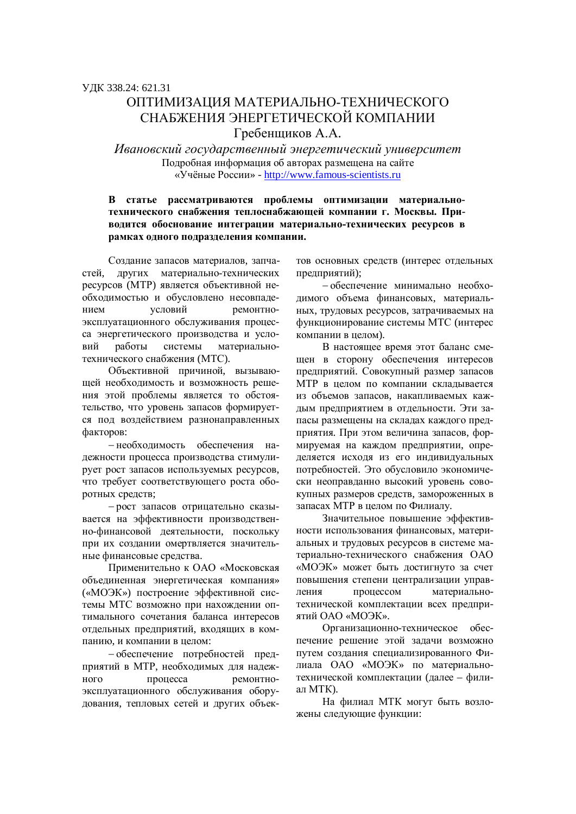## ОПТИМИЗАНИЯ МАТЕРИАЛЬНО-ТЕХНИЧЕСКОГО СНАБЖЕНИЯ ЭНЕРГЕТИЧЕСКОЙ КОМПАНИИ Гребенщиков А.А.

Ивановский государственный энергетический университет Подробная информация об авторах размещена на сайте «Учёные России» - http://www.famous-scientists.ru

## В статье рассматриваются проблемы оптимизации материальнотехнического снабжения теплоснабжающей компании г. Москвы. При**водится обоснование интеграции материально-технических ресурсов в** рамках одного подразделения компании.

Создание запасов материалов, запчастей, лругих материально-технических ресурсов (МТР) является объективной необходимостью и обусловлено несовпадением условий ремонтноэксплуатационного обслуживания процесса энергетического производства и условий работы системы материальнотехнического снабжения (МТС).

Объективной причиной, вызывающей необходимость и возможность решения этой проблемы является то обстоятельство, что уровень запасов формируется под воздействием разнонаправленных факторов:

– необходимость обеспечения надежности процесса производства стимулирует рост запасов используемых ресурсов, что требует соответствующего роста оборотных средств;

- рост запасов отрицательно сказывается на эффективности производственно-финансовой деятельности, поскольку при их создании омертвляется значительные финансовые средства.

Применительно к ОАО «Московская объединенная энергетическая компания» («МОЭК») построение эффективной системы МТС возможно при нахождении оптимального сочетания баланса интересов отдельных предприятий, входящих в компанию, и компании в целом:

- обеспечение потребностей предприятий в МТР, необходимых для надежного процесса ремонтноэксплуатационного обслуживания оборудования, тепловых сетей и других объектов основных средств (интерес отдельных предприятий);

- обеспечение минимально необходимого объема финансовых, материальных, трудовых ресурсов, затрачиваемых на функционирование системы МТС (интерес компании в целом).

В настояшее время этот баланс смещен в сторону обеспечения интересов предприятий. Совокупный размер запасов МТР в целом по компании складывается из объемов запасов, накапливаемых каждым предприятием в отдельности. Эти запасы размещены на складах каждого предприятия. При этом величина запасов, формируемая на каждом предприятии, определяется исходя из его индивидуальных потребностей. Это обусловило экономически неоправданно высокий уровень совокупных размеров средств, замороженных в запасах МТР в целом по Филиалу.

Значительное повышение эффективности использования финансовых, материальных и трудовых ресурсов в системе материально-технического снабжения ОАО «МОЭК» может быть достигнуто за счет повышения степени централизации управления процессом материальнотехнической комплектации всех предприятий ОАО «МОЭК».

Организационно-техническое обеспечение решение этой залачи возможно путем созлания специализированного Филиала ОАО «МОЭК» по материальнотехнической комплектации (далее – филиал MTK).

На филиал МТК могут быть возложены следующие функции: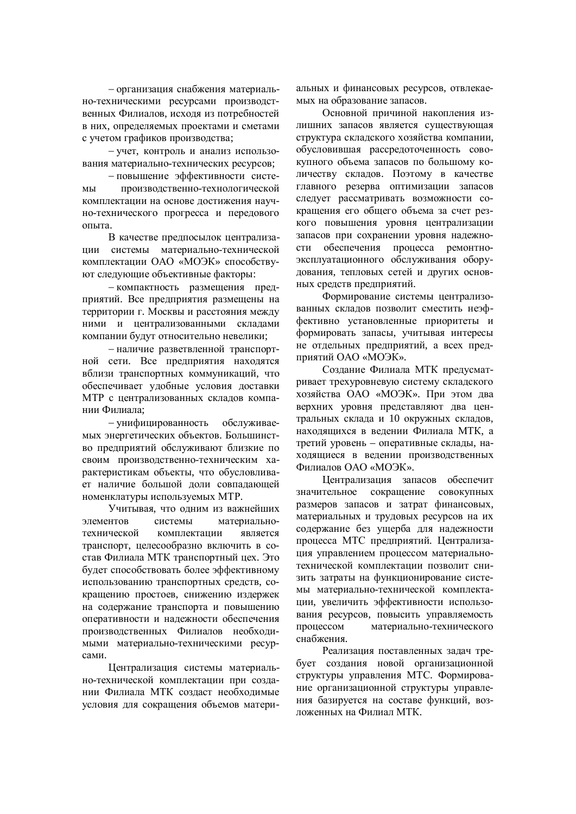- организация снабжения материально-техническими ресурсами производственных Филиалов, исхоля из потребностей в них, определяемых проектами и сметами с учетом графиков производства;

- учет, контроль и анализ использования материально-технических ресурсов;

- повышение эффективности системы производственно-технологической комплектации на основе лостижения научно-технического прогресса и передового опыта.

В качестве предпосылок централизации системы материально-технической комплектации ОАО «МОЭК» способствуют следующие объективные факторы:

- компактность размещения предприятий. Все предприятия размещены на территории г. Москвы и расстояния между ними и централизованными складами компании будут относительно невелики:

- наличие разветвленной транспортной сети. Все предприятия находятся вблизи транспортных коммуникаций, что обеспечивает удобные условия доставки МТР с централизованных складов компании Филиала:

– унифицированность обслуживаемых энергетических объектов. Большинство предприятий обслуживают близкие по своим производственно-техническим характеристикам объекты, что обусловливает наличие большой доли совпадающей номенклатуры используемых МТР.

Учитывая, что одним из важнейших элементов системы материальнотехнической комплектации является транспорт, целесообразно включить в состав Филиала МТК транспортный цех. Это будет способствовать более эффективному использованию транспортных средств, сокращению простоев, снижению издержек на содержание транспорта и повышению оперативности и надежности обеспечения производственных Филиалов необходимыми материально-техническими ресурсами.

Централизация системы материально-технической комплектации при создании Филиала МТК создаст необходимые условия для сокрашения объемов материальных и финансовых ресурсов, отвлекаемых на образование запасов.

Основной причиной накопления излишних запасов является существующая структура складского хозяйства компании, обусловившая рассредоточенность совокупного объема запасов по большому количеству складов. Поэтому в качестве главного резерва оптимизации запасов слелует рассматривать возможности сокращения его общего объема за счет резкого повышения уровня централизации запасов при сохранении уровня надежности обеспечения процесса ремонтноэксплуатационного обслуживания оборудования, тепловых сетей и других основных средств предприятий.

Формирование системы централизованных складов позволит сместить неэффективно установленные приоритеты и формировать запасы, учитывая интересы не отдельных предприятий, а всех предприятий ОАО «МОЭК».

Создание Филиала МТК предусматривает трехуровневую систему складского хозяйства ОАО «МОЭК». При этом два верхних уровня представляют два центральных склада и 10 окружных складов. находящихся в ведении Филиала МТК, а третий уровень – оперативные склады, находящиеся в ведении производственных Филиалов ОАО «МОЭК».

Шентрализация запасов обеспечит значительное сокращение совокупных размеров запасов и затрат финансовых, материальных и трудовых ресурсов на их содержание без ущерба для надежности процесса МТС предприятий. Централизация управлением процессом материальнотехнической комплектации позволит снизить затраты на функционирование системы материально-технической комплектации, увеличить эффективности использования ресурсов, повысить управляемость процессом материально-технического снабжения.

Реализация поставленных задач требует создания новой организационной структуры управления МТС. Формирование организационной структуры управления базируется на составе функций, воздоженных на Филиал МТК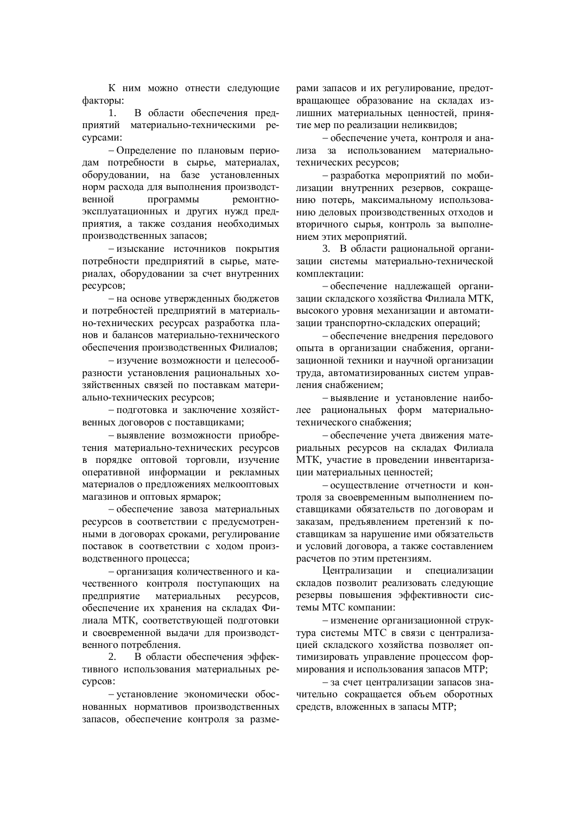К ним можно отнести следующие факторы:

1. В области обеспечения предприятий материально-техническими ресурсами:

- Определение по плановым периодам потребности в сырье, материалах, оборудовании, на базе установленных норм расхода для выполнения производственной программы ремонтноэксплуатационных и других нужд предприятия, а также создания необходимых производственных запасов;

- изыскание источников покрытия потребности предприятий в сырье, материалах, оборудовании за счет внутренних ресурсов;

– на основе утвержденных бюджетов и потребностей предприятий в материально-технических ресурсах разработка планов и балансов материально-технического обеспечения производственных Филиалов;

- изучение возможности и целесообразности установления рациональных хозяйственных связей по поставкам материально-технических ресурсов;

- полготовка и заключение хозяйственных логоворов с поставшиками:

- выявление возможности приобретения материально-технических ресурсов в порядке оптовой торговли, изучение оперативной информации и рекламных материалов о предложениях мелкооптовых магазинов и оптовых ярмарок;

- обеспечение завоза материальных ресурсов в соответствии с предусмотренными в договорах сроками, регулирование поставок в соответствии с ходом производственного процесса;

- организация количественного и качественного контроля поступающих на предприятие материальных ресурсов, обеспечение их хранения на складах Филиала МТК, соответствующей подготовки и своевременной вылачи лля произволственного потребления.

2. В области обеспечения эффективного использования материальных реcypcoB:

- установление экономически обоснованных нормативов производственных запасов, обеспечение контроля за размерами запасов и их регулирование, предотвращающее образование на складах излишних материальных ценностей, принятие мер по реализации неликвидов;

- обеспечение учета, контроля и анализа за использованием материальнотехнических ресурсов;

- разработка мероприятий по мобилизации внутренних резервов, сокращению потерь, максимальному использованию деловых производственных отходов и вторичного сырья, контроль за выполнением этих мероприятий.

3. В области рациональной организации системы материально-технической комплектании:

- обеспечение надлежащей организации складского хозяйства Филиала МТК, высокого уровня механизации и автоматизации транспортно-складских операций;

- обеспечение внедрения передового опыта в организации снабжения, организационной техники и научной организации труда, автоматизированных систем управления снабжением;

- выявление и установление наиболее рациональных форм материальнотехнического снабжения:

- обеспечение учета движения материальных ресурсов на складах Филиала МТК, участие в проведении инвентаризации материальных ценностей;

- осуществление отчетности и контроля за своевременным выполнением поставщиками обязательств по договорам и заказам, предъявлением претензий к поставщикам за нарушение ими обязательств и условий договора, а также составлением расчетов по этим претензиям.

Централизации и специализации складов позволит реализовать следующие резервы повышения эффективности системы МТС компании:

- изменение организационной структура системы МТС в связи с централизацией складского хозяйства позволяет оптимизировать управление процессом формирования и использования запасов МТР;

- за счет централизации запасов значительно сокращается объем оборотных средств, вложенных в запасы МТР;